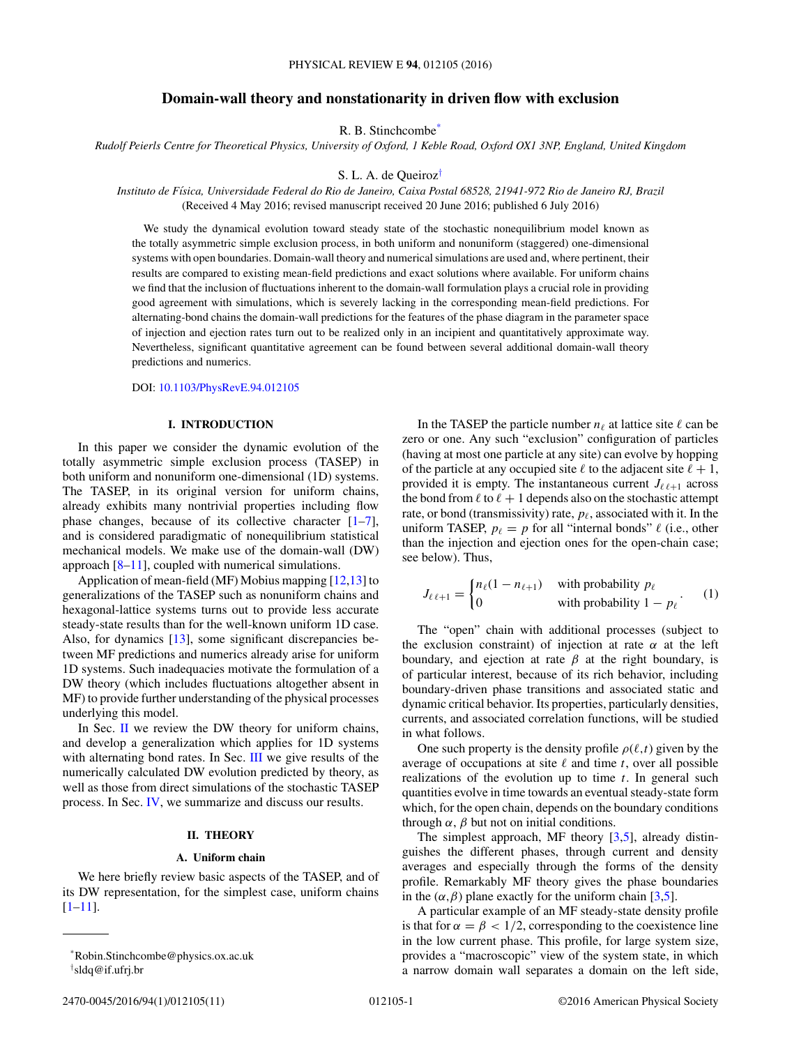# **Domain-wall theory and nonstationarity in driven flow with exclusion**

R. B. Stinchcombe\*

<span id="page-0-0"></span>*Rudolf Peierls Centre for Theoretical Physics, University of Oxford, 1 Keble Road, Oxford OX1 3NP, England, United Kingdom*

S. L. A. de Queiroz†

*Instituto de F´ısica, Universidade Federal do Rio de Janeiro, Caixa Postal 68528, 21941-972 Rio de Janeiro RJ, Brazil* (Received 4 May 2016; revised manuscript received 20 June 2016; published 6 July 2016)

We study the dynamical evolution toward steady state of the stochastic nonequilibrium model known as the totally asymmetric simple exclusion process, in both uniform and nonuniform (staggered) one-dimensional systems with open boundaries. Domain-wall theory and numerical simulations are used and, where pertinent, their results are compared to existing mean-field predictions and exact solutions where available. For uniform chains we find that the inclusion of fluctuations inherent to the domain-wall formulation plays a crucial role in providing good agreement with simulations, which is severely lacking in the corresponding mean-field predictions. For alternating-bond chains the domain-wall predictions for the features of the phase diagram in the parameter space of injection and ejection rates turn out to be realized only in an incipient and quantitatively approximate way. Nevertheless, significant quantitative agreement can be found between several additional domain-wall theory predictions and numerics.

#### DOI: [10.1103/PhysRevE.94.012105](http://dx.doi.org/10.1103/PhysRevE.94.012105)

### **I. INTRODUCTION**

In this paper we consider the dynamic evolution of the totally asymmetric simple exclusion process (TASEP) in both uniform and nonuniform one-dimensional (1D) systems. The TASEP, in its original version for uniform chains, already exhibits many nontrivial properties including flow phase changes, because of its collective character  $[1-7]$ , and is considered paradigmatic of nonequilibrium statistical mechanical models. We make use of the domain-wall (DW) approach  $[8-11]$ , coupled with numerical simulations.

Application of mean-field (MF) Mobius mapping [\[12,13\]](#page-10-0) to generalizations of the TASEP such as nonuniform chains and hexagonal-lattice systems turns out to provide less accurate steady-state results than for the well-known uniform 1D case. Also, for dynamics [\[13\]](#page-10-0), some significant discrepancies between MF predictions and numerics already arise for uniform 1D systems. Such inadequacies motivate the formulation of a DW theory (which includes fluctuations altogether absent in MF) to provide further understanding of the physical processes underlying this model.

In Sec.  $\mathbf{I}$  we review the DW theory for uniform chains, and develop a generalization which applies for 1D systems with alternating bond rates. In Sec. [III](#page-4-0) we give results of the numerically calculated DW evolution predicted by theory, as well as those from direct simulations of the stochastic TASEP process. In Sec. [IV,](#page-9-0) we summarize and discuss our results.

## **II. THEORY**

#### **A. Uniform chain**

We here briefly review basic aspects of the TASEP, and of its DW representation, for the simplest case, uniform chains [\[1–11\]](#page-10-0).

In the TASEP the particle number  $n_{\ell}$  at lattice site  $\ell$  can be zero or one. Any such "exclusion" configuration of particles (having at most one particle at any site) can evolve by hopping of the particle at any occupied site  $\ell$  to the adjacent site  $\ell + 1$ , provided it is empty. The instantaneous current  $J_{\ell \ell+1}$  across the bond from  $\ell$  to  $\ell + 1$  depends also on the stochastic attempt rate, or bond (transmissivity) rate,  $p_{\ell}$ , associated with it. In the uniform TASEP,  $p_{\ell} = p$  for all "internal bonds"  $\ell$  (i.e., other than the injection and ejection ones for the open-chain case; see below). Thus,

$$
J_{\ell \ell+1} = \begin{cases} n_{\ell}(1 - n_{\ell+1}) & \text{with probability } p_{\ell} \\ 0 & \text{with probability } 1 - p_{\ell} \end{cases} \tag{1}
$$

The "open" chain with additional processes (subject to the exclusion constraint) of injection at rate  $\alpha$  at the left boundary, and ejection at rate  $\beta$  at the right boundary, is of particular interest, because of its rich behavior, including boundary-driven phase transitions and associated static and dynamic critical behavior. Its properties, particularly densities, currents, and associated correlation functions, will be studied in what follows.

One such property is the density profile  $\rho(\ell, t)$  given by the average of occupations at site  $\ell$  and time  $t$ , over all possible realizations of the evolution up to time *t*. In general such quantities evolve in time towards an eventual steady-state form which, for the open chain, depends on the boundary conditions through  $\alpha$ ,  $\beta$  but not on initial conditions.

The simplest approach, MF theory  $[3,5]$ , already distinguishes the different phases, through current and density averages and especially through the forms of the density profile. Remarkably MF theory gives the phase boundaries in the  $(\alpha, \beta)$  plane exactly for the uniform chain [\[3,5\]](#page-10-0).

A particular example of an MF steady-state density profile is that for  $\alpha = \beta < 1/2$ , corresponding to the coexistence line in the low current phase. This profile, for large system size, provides a "macroscopic" view of the system state, in which a narrow domain wall separates a domain on the left side,

<sup>\*</sup>Robin.Stinchcombe@physics.ox.ac.uk † sldq@if.ufrj.br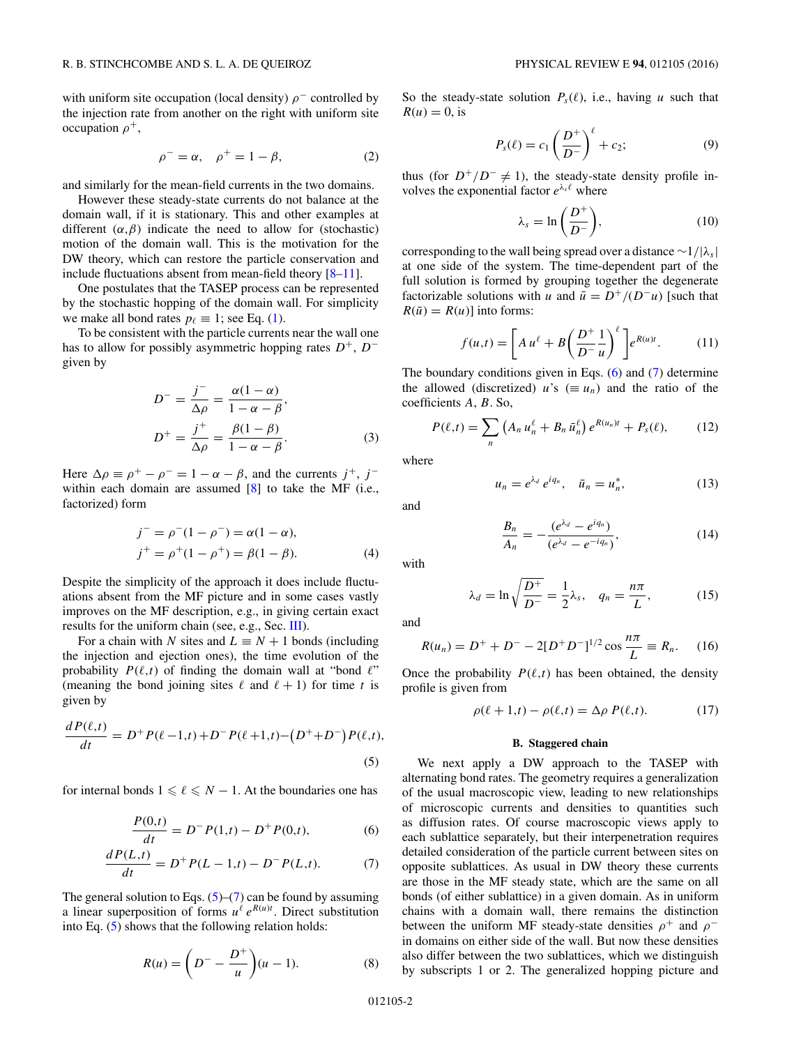<span id="page-1-0"></span>with uniform site occupation (local density)  $\rho$ <sup>−</sup> controlled by the injection rate from another on the right with uniform site occupation *ρ*<sup>+</sup>,

$$
\rho^- = \alpha, \quad \rho^+ = 1 - \beta,\tag{2}
$$

and similarly for the mean-field currents in the two domains.

However these steady-state currents do not balance at the domain wall, if it is stationary. This and other examples at different  $(\alpha, \beta)$  indicate the need to allow for (stochastic) motion of the domain wall. This is the motivation for the DW theory, which can restore the particle conservation and include fluctuations absent from mean-field theory  $[8-11]$ .

One postulates that the TASEP process can be represented by the stochastic hopping of the domain wall. For simplicity we make all bond rates  $p_\ell \equiv 1$ ; see Eq. [\(1\)](#page-0-0).

To be consistent with the particle currents near the wall one has to allow for possibly asymmetric hopping rates  $D^+$ ,  $D^$ given by

$$
D^{-} = \frac{j^{-}}{\Delta \rho} = \frac{\alpha(1 - \alpha)}{1 - \alpha - \beta},
$$
  
\n
$$
D^{+} = \frac{j^{+}}{\Delta \rho} = \frac{\beta(1 - \beta)}{1 - \alpha - \beta}.
$$
 (3)

Here  $\Delta \rho \equiv \rho^+ - \rho^- = 1 - \alpha - \beta$ , and the currents  $j^+$ ,  $j^$ within each domain are assumed  $[8]$  to take the MF (i.e., factorized) form

$$
j^- = \rho^-(1 - \rho^-) = \alpha(1 - \alpha),
$$
  
\n
$$
j^+ = \rho^+(1 - \rho^+) = \beta(1 - \beta).
$$
 (4)

Despite the simplicity of the approach it does include fluctuations absent from the MF picture and in some cases vastly improves on the MF description, e.g., in giving certain exact results for the uniform chain (see, e.g., Sec. [III\)](#page-4-0).

For a chain with *N* sites and  $L \equiv N + 1$  bonds (including the injection and ejection ones), the time evolution of the probability  $P(\ell,t)$  of finding the domain wall at "bond  $\ell$ " (meaning the bond joining sites  $\ell$  and  $\ell + 1$ ) for time *t* is given by

$$
\frac{dP(\ell,t)}{dt} = D^+P(\ell-1,t) + D^-P(\ell+1,t) - (D^+ + D^-)P(\ell,t),
$$
\n(5)

for internal bonds  $1 \leq \ell \leq N - 1$ . At the boundaries one has

$$
\frac{P(0,t)}{dt} = D^{-}P(1,t) - D^{+}P(0,t),
$$
\n(6)

$$
\frac{dP(L,t)}{dt} = D^+P(L-1,t) - D^-P(L,t). \tag{7}
$$

The general solution to Eqs.  $(5)$ – $(7)$  can be found by assuming a linear superposition of forms  $u^{\ell} e^{R(u)t}$ . Direct substitution into Eq. (5) shows that the following relation holds:

$$
R(u) = \left(D^{-} - \frac{D^{+}}{u}\right)(u - 1).
$$
 (8)

So the steady-state solution  $P_s(\ell)$ , i.e., having *u* such that  $R(u) = 0$ , is

$$
P_s(\ell) = c_1 \left(\frac{D^+}{D^-}\right)^{\ell} + c_2; \tag{9}
$$

thus (for  $D^+/D^- \neq 1$ ), the steady-state density profile involves the exponential factor  $e^{\lambda_s \ell}$  where

$$
\lambda_s = \ln\left(\frac{D^+}{D^-}\right),\tag{10}
$$

corresponding to the wall being spread over a distance ∼1*/*|*λs*| at one side of the system. The time-dependent part of the full solution is formed by grouping together the degenerate factorizable solutions with *u* and  $\bar{u} = D^+/ (D^- u)$  [such that  $R(\bar{u}) = R(u)$  into forms:

$$
f(u,t) = \left[A u^{\ell} + B \left(\frac{D^+}{D^-} \frac{1}{u}\right)^{\ell}\right] e^{R(u)t}.
$$
 (11)

The boundary conditions given in Eqs. (6) and (7) determine the allowed (discretized) *u*'s ( $\equiv u_n$ ) and the ratio of the coefficients *A*, *B*. So,

$$
P(\ell,t) = \sum_{n} \left( A_n u_n^{\ell} + B_n \, \bar{u}_n^{\ell} \right) e^{R(u_n)t} + P_s(\ell), \tag{12}
$$

where

$$
u_n = e^{\lambda_d} e^{iq_n}, \quad \bar{u}_n = u_n^*, \tag{13}
$$

and

$$
\frac{B_n}{A_n} = -\frac{(e^{\lambda_d} - e^{iq_n})}{(e^{\lambda_d} - e^{-iq_n})},
$$
\n(14)

with

$$
\lambda_d = \ln \sqrt{\frac{D^+}{D^-}} = \frac{1}{2} \lambda_s, \quad q_n = \frac{n\pi}{L}, \tag{15}
$$

and

$$
R(u_n) = D^+ + D^- - 2[D^+D^-]^{1/2}\cos\frac{n\pi}{L} \equiv R_n.
$$
 (16)

Once the probability  $P(\ell,t)$  has been obtained, the density profile is given from

$$
\rho(\ell+1,t) - \rho(\ell,t) = \Delta \rho \ P(\ell,t). \tag{17}
$$

#### **B. Staggered chain**

We next apply a DW approach to the TASEP with alternating bond rates. The geometry requires a generalization of the usual macroscopic view, leading to new relationships of microscopic currents and densities to quantities such as diffusion rates. Of course macroscopic views apply to each sublattice separately, but their interpenetration requires detailed consideration of the particle current between sites on opposite sublattices. As usual in DW theory these currents are those in the MF steady state, which are the same on all bonds (of either sublattice) in a given domain. As in uniform chains with a domain wall, there remains the distinction between the uniform MF steady-state densities  $\rho^+$  and  $\rho^$ in domains on either side of the wall. But now these densities also differ between the two sublattices, which we distinguish by subscripts 1 or 2. The generalized hopping picture and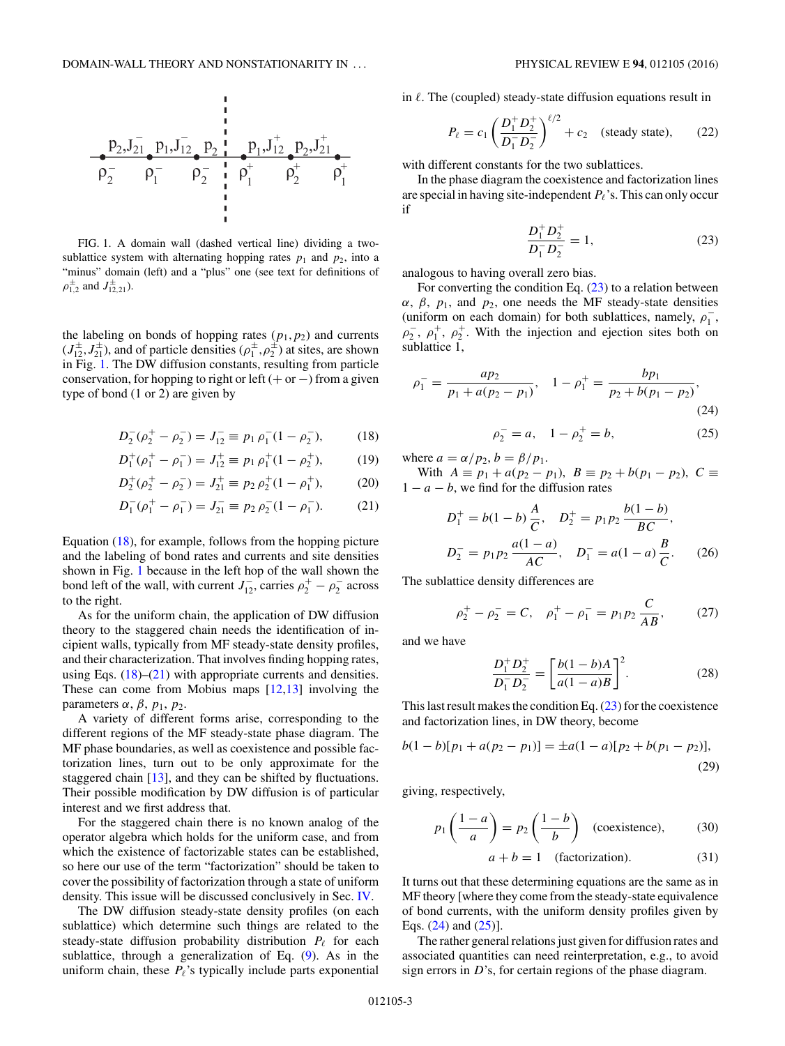<span id="page-2-0"></span>

FIG. 1. A domain wall (dashed vertical line) dividing a twosublattice system with alternating hopping rates  $p_1$  and  $p_2$ , into a "minus" domain (left) and a "plus" one (see text for definitions of  $\rho_{1,2}^{\pm}$  and  $J_{12,21}^{\pm}$ ).

the labeling on bonds of hopping rates  $(p_1, p_2)$  and currents  $(J_{12}^{\pm}, J_{21}^{\pm})$ , and of particle densities  $(\rho_1^{\pm}, \rho_2^{\pm})$  at sites, are shown in Fig. 1. The DW diffusion constants, resulting from particle conservation, for hopping to right or left  $(+ or -)$  from a given type of bond (1 or 2) are given by

$$
D_2^-(\rho_2^+ - \rho_2^-) = J_{12}^- \equiv p_1 \rho_1^-(1 - \rho_2^-), \tag{18}
$$

$$
D_1^+(\rho_1^+ - \rho_1^-) = J_{12}^+ \equiv p_1 \rho_1^+(1 - \rho_2^+), \tag{19}
$$

$$
D_2^+(\rho_2^+ - \rho_2^-) = J_{21}^+ \equiv p_2 \,\rho_2^+(1 - \rho_1^+),\tag{20}
$$

$$
D_1^- (\rho_1^+ - \rho_1^-) = J_{21}^- \equiv p_2 \, \rho_2^- (1 - \rho_1^-). \tag{21}
$$

Equation (18), for example, follows from the hopping picture and the labeling of bond rates and currents and site densities shown in Fig. 1 because in the left hop of the wall shown the bond left of the wall, with current  $J_{12}^-$ , carries  $\rho_2^+ - \rho_2^-$  across to the right.

As for the uniform chain, the application of DW diffusion theory to the staggered chain needs the identification of incipient walls, typically from MF steady-state density profiles, and their characterization. That involves finding hopping rates, using Eqs.  $(18)$ – $(21)$  with appropriate currents and densities. These can come from Mobius maps [\[12,13\]](#page-10-0) involving the parameters  $\alpha$ ,  $\beta$ ,  $p_1$ ,  $p_2$ .

A variety of different forms arise, corresponding to the different regions of the MF steady-state phase diagram. The MF phase boundaries, as well as coexistence and possible factorization lines, turn out to be only approximate for the staggered chain [\[13\]](#page-10-0), and they can be shifted by fluctuations. Their possible modification by DW diffusion is of particular interest and we first address that.

For the staggered chain there is no known analog of the operator algebra which holds for the uniform case, and from which the existence of factorizable states can be established, so here our use of the term "factorization" should be taken to cover the possibility of factorization through a state of uniform density. This issue will be discussed conclusively in Sec. [IV.](#page-9-0)

The DW diffusion steady-state density profiles (on each sublattice) which determine such things are related to the steady-state diffusion probability distribution  $P_{\ell}$  for each sublattice, through a generalization of Eq. [\(9\)](#page-1-0). As in the uniform chain, these  $P_{\ell}$ 's typically include parts exponential in  $\ell$ . The (coupled) steady-state diffusion equations result in

$$
P_{\ell} = c_1 \left( \frac{D_1^+ D_2^+}{D_1^- D_2^-} \right)^{\ell/2} + c_2 \quad \text{(steady state)}, \tag{22}
$$

with different constants for the two sublattices.

In the phase diagram the coexistence and factorization lines are special in having site-independent  $P_{\ell}$ 's. This can only occur if

$$
\frac{D_1^+ D_2^+}{D_1^- D_2^-} = 1,\t(23)
$$

analogous to having overall zero bias.

For converting the condition Eq.  $(23)$  to a relation between *α*, *β*, *p*1, and *p*2, one needs the MF steady-state densities (uniform on each domain) for both sublattices, namely,  $\rho_1^-$ ,  $\rho_2^-$ ,  $\rho_1^+$ ,  $\rho_2^+$ . With the injection and ejection sites both on sublattice 1,

$$
\rho_1^- = \frac{ap_2}{p_1 + a(p_2 - p_1)}, \quad 1 - \rho_1^+ = \frac{bp_1}{p_2 + b(p_1 - p_2)},\tag{24}
$$

$$
\rho_2^- = a, \quad 1 - \rho_2^+ = b,\tag{25}
$$

where  $a = \alpha/p_2$ ,  $b = \beta/p_1$ .

With *A* ≡  $p_1 + a(p_2 - p_1)$ , *B* ≡  $p_2 + b(p_1 - p_2)$ , *C* ≡  $1 - a - b$ , we find for the diffusion rates

$$
D_1^+ = b(1-b)\frac{A}{C}, \quad D_2^+ = p_1 p_2 \frac{b(1-b)}{BC},
$$
  

$$
D_2^- = p_1 p_2 \frac{a(1-a)}{AC}, \quad D_1^- = a(1-a)\frac{B}{C}.
$$
 (26)

The sublattice density differences are

$$
\rho_2^+ - \rho_2^- = C, \quad \rho_1^+ - \rho_1^- = p_1 p_2 \frac{C}{AB}, \tag{27}
$$

and we have

$$
\frac{D_1^+ D_2^+}{D_1^- D_2^-} = \left[\frac{b(1-b)A}{a(1-a)B}\right]^2.
$$
 (28)

This last result makes the condition Eq. (23) for the coexistence and factorization lines, in DW theory, become

$$
b(1-b)[p_1 + a(p_2 - p_1)] = \pm a(1-a)[p_2 + b(p_1 - p_2)],
$$
\n(29)

giving, respectively,

$$
p_1\left(\frac{1-a}{a}\right) = p_2\left(\frac{1-b}{b}\right) \quad \text{(coexistence)},\tag{30}
$$

$$
a + b = 1
$$
 (factorization). (31)

It turns out that these determining equations are the same as in MF theory [where they come from the steady-state equivalence of bond currents, with the uniform density profiles given by Eqs. (24) and (25)].

The rather general relations just given for diffusion rates and associated quantities can need reinterpretation, e.g., to avoid sign errors in *D*'s, for certain regions of the phase diagram.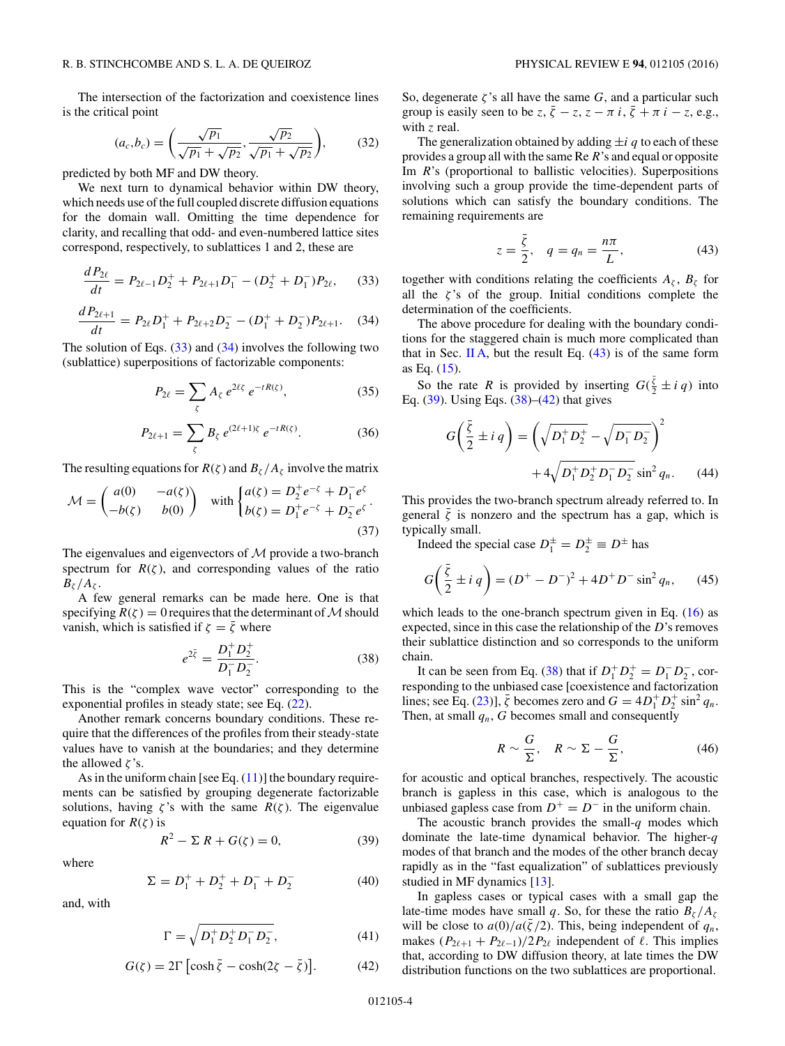<span id="page-3-0"></span>The intersection of the factorization and coexistence lines is the critical point

$$
(a_c, b_c) = \left(\frac{\sqrt{p_1}}{\sqrt{p_1} + \sqrt{p_2}}, \frac{\sqrt{p_2}}{\sqrt{p_1} + \sqrt{p_2}}\right),
$$
 (32)

predicted by both MF and DW theory.

We next turn to dynamical behavior within DW theory, which needs use of the full coupled discrete diffusion equations for the domain wall. Omitting the time dependence for clarity, and recalling that odd- and even-numbered lattice sites correspond, respectively, to sublattices 1 and 2, these are

$$
\frac{dP_{2\ell}}{dt} = P_{2\ell-1}D_2^+ + P_{2\ell+1}D_1^- - (D_2^+ + D_1^-)P_{2\ell},\qquad(33)
$$

$$
\frac{dP_{2\ell+1}}{dt} = P_{2\ell}D_1^+ + P_{2\ell+2}D_2^- - (D_1^+ + D_2^-)P_{2\ell+1}.\tag{34}
$$

The solution of Eqs.  $(33)$  and  $(34)$  involves the following two (sublattice) superpositions of factorizable components:

$$
P_{2\ell} = \sum_{\zeta} A_{\zeta} e^{2\ell \zeta} e^{-tR(\zeta)}, \qquad (35)
$$

$$
P_{2\ell+1} = \sum_{\zeta} B_{\zeta} e^{(2\ell+1)\zeta} e^{-tR(\zeta)}.
$$
 (36)

The resulting equations for  $R(\zeta)$  and  $B_\zeta/A_\zeta$  involve the matrix

$$
\mathcal{M} = \begin{pmatrix} a(0) & -a(\zeta) \\ -b(\zeta) & b(0) \end{pmatrix} \text{ with } \begin{cases} a(\zeta) = D_2^+ e^{-\zeta} + D_1^- e^{\zeta} \\ b(\zeta) = D_1^+ e^{-\zeta} + D_2^- e^{\zeta} \end{cases}.
$$
\n(37)

The eigenvalues and eigenvectors of  $M$  provide a two-branch spectrum for  $R(\zeta)$ , and corresponding values of the ratio  $B_\zeta / A_\zeta$ .

A few general remarks can be made here. One is that specifying  $R(\zeta) = 0$  requires that the determinant of M should vanish, which is satisfied if  $\zeta = \overline{\zeta}$  where

$$
e^{2\bar{\zeta}} = \frac{D_1^+ D_2^+}{D_1^- D_2^-}.
$$
 (38)

This is the "complex wave vector" corresponding to the exponential profiles in steady state; see Eq.  $(22)$ .

Another remark concerns boundary conditions. These require that the differences of the profiles from their steady-state values have to vanish at the boundaries; and they determine the allowed *ζ* 's.

As in the uniform chain [see Eq.  $(11)$ ] the boundary requirements can be satisfied by grouping degenerate factorizable solutions, having  $\zeta$ 's with the same  $R(\zeta)$ . The eigenvalue equation for  $R(\zeta)$  is

$$
R^2 - \Sigma R + G(\zeta) = 0,\t(39)
$$

where

$$
\Sigma = D_1^+ + D_2^+ + D_1^- + D_2^- \tag{40}
$$

and, with

$$
\Gamma = \sqrt{D_1^+ D_2^+ D_1^- D_2^-},\tag{41}
$$

$$
G(\zeta) = 2\Gamma \left[ \cosh \bar{\zeta} - \cosh(2\zeta - \bar{\zeta}) \right].
$$
 (42)

So, degenerate  $\zeta$ 's all have the same  $G$ , and a particular such group is easily seen to be *z*,  $\bar{\zeta}$  − *z*,  $z$  −  $\pi$  *i*,  $\bar{\zeta}$  +  $\pi$  *i* − *z*, e.g., with *z* real.

The generalization obtained by adding  $\pm i q$  to each of these provides a group all with the same Re *R*'s and equal or opposite Im *R*'s (proportional to ballistic velocities). Superpositions involving such a group provide the time-dependent parts of solutions which can satisfy the boundary conditions. The remaining requirements are

$$
z = \frac{\bar{\zeta}}{2}, \quad q = q_n = \frac{n\pi}{L}, \tag{43}
$$

together with conditions relating the coefficients  $A_\zeta$ ,  $B_\zeta$  for all the  $\zeta$ 's of the group. Initial conditions complete the determination of the coefficients.

The above procedure for dealing with the boundary conditions for the staggered chain is much more complicated than that in Sec. [II A,](#page-0-0) but the result Eq.  $(43)$  is of the same form as Eq. [\(15\)](#page-1-0).

So the rate *R* is provided by inserting  $G(\frac{\bar{\zeta}}{2} \pm i q)$  into Eq.  $(39)$ . Using Eqs.  $(38)$ – $(42)$  that gives

$$
G\left(\frac{\bar{\zeta}}{2} \pm i q\right) = \left(\sqrt{D_1^+ D_2^+} - \sqrt{D_1^- D_2^-}\right)^2 + 4\sqrt{D_1^+ D_2^+ D_1^- D_2^-} \sin^2 q_n. \tag{44}
$$

This provides the two-branch spectrum already referred to. In general  $\bar{\zeta}$  is nonzero and the spectrum has a gap, which is typically small.

Indeed the special case  $D_1^{\pm} = D_2^{\pm} \equiv D^{\pm}$  has

$$
G\left(\frac{\bar{\zeta}}{2} \pm i q\right) = (D^+ - D^-)^2 + 4D^+D^- \sin^2 q_n, \qquad (45)
$$

which leads to the one-branch spectrum given in Eq.  $(16)$  as expected, since in this case the relationship of the *D*'s removes their sublattice distinction and so corresponds to the uniform chain.

It can be seen from Eq. (38) that if  $D_1^+ D_2^+ = D_1^- D_2^-$ , corresponding to the unbiased case [coexistence and factorization lines; see Eq. [\(23\)](#page-2-0)],  $\bar{\zeta}$  becomes zero and  $G = 4D_1^+ D_2^+ \sin^2 q_n$ . Then, at small  $q_n$ ,  $G$  becomes small and consequently

$$
R \sim \frac{G}{\Sigma}, \quad R \sim \Sigma - \frac{G}{\Sigma}, \tag{46}
$$

for acoustic and optical branches, respectively. The acoustic branch is gapless in this case, which is analogous to the unbiased gapless case from  $D^+ = D^-$  in the uniform chain.

The acoustic branch provides the small-*q* modes which dominate the late-time dynamical behavior. The higher-*q* modes of that branch and the modes of the other branch decay rapidly as in the "fast equalization" of sublattices previously studied in MF dynamics [\[13\]](#page-10-0).

In gapless cases or typical cases with a small gap the late-time modes have small *q*. So, for these the ratio  $B_\zeta / A_\zeta$ will be close to  $a(0)/a(\bar{\zeta}/2)$ . This, being independent of  $q_n$ , makes  $(P_{2\ell+1} + P_{2\ell-1})/2P_{2\ell}$  independent of  $\ell$ . This implies that, according to DW diffusion theory, at late times the DW distribution functions on the two sublattices are proportional.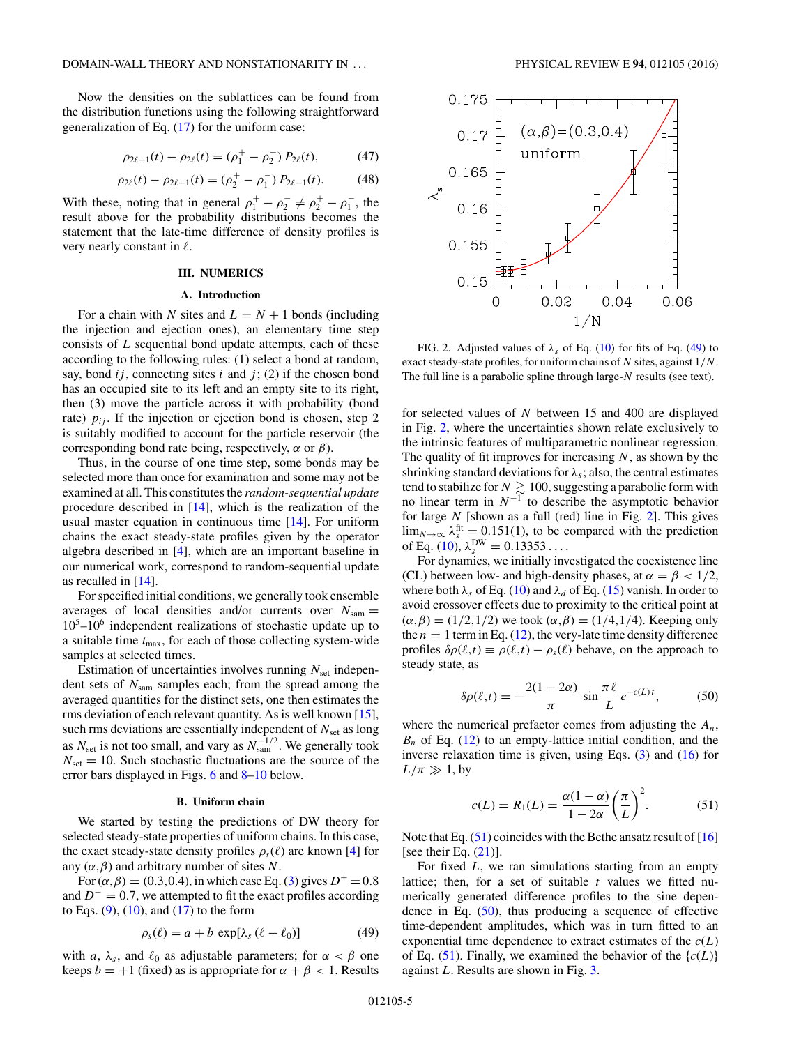<span id="page-4-0"></span>Now the densities on the sublattices can be found from the distribution functions using the following straightforward generalization of Eq. [\(17\)](#page-1-0) for the uniform case:

$$
\rho_{2\ell+1}(t) - \rho_{2\ell}(t) = (\rho_1^+ - \rho_2^-) P_{2\ell}(t), \tag{47}
$$

$$
\rho_{2\ell}(t) - \rho_{2\ell - 1}(t) = (\rho_2^+ - \rho_1^-) P_{2\ell - 1}(t). \tag{48}
$$

With these, noting that in general  $\rho_1^+ - \rho_2^- \neq \rho_2^+ - \rho_1^-$ , the result above for the probability distributions becomes the statement that the late-time difference of density profiles is very nearly constant in  $\ell$ .

## **III. NUMERICS**

## **A. Introduction**

For a chain with *N* sites and  $L = N + 1$  bonds (including the injection and ejection ones), an elementary time step consists of *L* sequential bond update attempts, each of these according to the following rules: (1) select a bond at random, say, bond  $ij$ , connecting sites  $i$  and  $j$ ; (2) if the chosen bond has an occupied site to its left and an empty site to its right, then (3) move the particle across it with probability (bond rate)  $p_{ij}$ . If the injection or ejection bond is chosen, step 2 is suitably modified to account for the particle reservoir (the corresponding bond rate being, respectively, *α* or *β*).

Thus, in the course of one time step, some bonds may be selected more than once for examination and some may not be examined at all. This constitutes the *random-sequential update* procedure described in [\[14\]](#page-10-0), which is the realization of the usual master equation in continuous time [\[14\]](#page-10-0). For uniform chains the exact steady-state profiles given by the operator algebra described in [\[4\]](#page-10-0), which are an important baseline in our numerical work, correspond to random-sequential update as recalled in  $[14]$ .

For specified initial conditions, we generally took ensemble averages of local densities and/or currents over *N*sam =  $10<sup>5</sup>$ –10<sup>6</sup> independent realizations of stochastic update up to a suitable time *t*max, for each of those collecting system-wide samples at selected times.

Estimation of uncertainties involves running  $N<sub>set</sub>$  independent sets of *N*sam samples each; from the spread among the averaged quantities for the distinct sets, one then estimates the rms deviation of each relevant quantity. As is well known [\[15\]](#page-10-0), such rms deviations are essentially independent of  $N_{\text{set}}$  as long as  $N_{\text{set}}$  is not too small, and vary as  $N_{\text{sam}}^{-1/2}$ . We generally took  $N_{\text{set}} = 10$ . Such stochastic fluctuations are the source of the error bars displayed in Figs. [6](#page-6-0) and [8–](#page-7-0)[10](#page-8-0) below.

### **B. Uniform chain**

We started by testing the predictions of DW theory for selected steady-state properties of uniform chains. In this case, the exact steady-state density profiles  $\rho_s(\ell)$  are known [\[4\]](#page-10-0) for any  $(\alpha, \beta)$  and arbitrary number of sites *N*.

For  $(\alpha, \beta) = (0.3, 0.4)$ , in which case Eq. [\(3\)](#page-1-0) gives  $D^+ = 0.8$ and *D*<sup>−</sup> = 0*.*7, we attempted to fit the exact profiles according to Eqs.  $(9)$ ,  $(10)$ , and  $(17)$  to the form

$$
\rho_s(\ell) = a + b \, \exp[\lambda_s \, (\ell - \ell_0)] \tag{49}
$$

with *a*,  $\lambda_s$ , and  $\ell_0$  as adjustable parameters; for  $\alpha < \beta$  one keeps  $b = +1$  (fixed) as is appropriate for  $\alpha + \beta < 1$ . Results



FIG. 2. Adjusted values of  $\lambda_s$  of Eq. [\(10\)](#page-1-0) for fits of Eq. (49) to exact steady-state profiles, for uniform chains of *N* sites, against 1*/N*. The full line is a parabolic spline through large-*N* results (see text).

for selected values of *N* between 15 and 400 are displayed in Fig. 2, where the uncertainties shown relate exclusively to the intrinsic features of multiparametric nonlinear regression. The quality of fit improves for increasing *N*, as shown by the shrinking standard deviations for  $\lambda_s$ ; also, the central estimates tend to stabilize for  $N\gtrsim 100,$  suggesting a parabolic form with no linear term in *N*−<sup>1</sup> to describe the asymptotic behavior for large *N* [shown as a full (red) line in Fig. 2]. This gives  $\lim_{N\to\infty} \lambda_s^{\text{fit}} = 0.151(1)$ , to be compared with the prediction of Eq. [\(10\)](#page-1-0),  $\lambda_s^{\text{DW}} = 0.13353...$ 

For dynamics, we initially investigated the coexistence line (CL) between low- and high-density phases, at  $\alpha = \beta < 1/2$ , where both  $\lambda_s$  of Eq. [\(10\)](#page-1-0) and  $\lambda_d$  of Eq. [\(15\)](#page-1-0) vanish. In order to avoid crossover effects due to proximity to the critical point at (*α,β*) = (1*/*2*,*1*/*2) we took (*α,β*) = (1*/*4*,*1*/*4). Keeping only the  $n = 1$  term in Eq. [\(12\)](#page-1-0), the very-late time density difference profiles  $\delta \rho(\ell, t) \equiv \rho(\ell, t) - \rho_s(\ell)$  behave, on the approach to steady state, as

$$
\delta \rho(\ell, t) = -\frac{2(1 - 2\alpha)}{\pi} \sin \frac{\pi \ell}{L} e^{-c(L)t}, \tag{50}
$$

where the numerical prefactor comes from adjusting the *An*,  $B_n$  of Eq. [\(12\)](#page-1-0) to an empty-lattice initial condition, and the inverse relaxation time is given, using Eqs. [\(3\)](#page-1-0) and [\(16\)](#page-1-0) for  $L/\pi \gg 1$ , by

$$
c(L) = R_1(L) = \frac{\alpha(1-\alpha)}{1-2\alpha} \left(\frac{\pi}{L}\right)^2.
$$
 (51)

Note that Eq.  $(51)$  coincides with the Bethe ansatz result of [\[16\]](#page-10-0) [see their Eq.  $(21)$ ].

For fixed *L*, we ran simulations starting from an empty lattice; then, for a set of suitable *t* values we fitted numerically generated difference profiles to the sine dependence in Eq.  $(50)$ , thus producing a sequence of effective time-dependent amplitudes, which was in turn fitted to an exponential time dependence to extract estimates of the  $c(L)$ of Eq. (51). Finally, we examined the behavior of the  ${c(L)}$ against *L*. Results are shown in Fig. [3.](#page-5-0)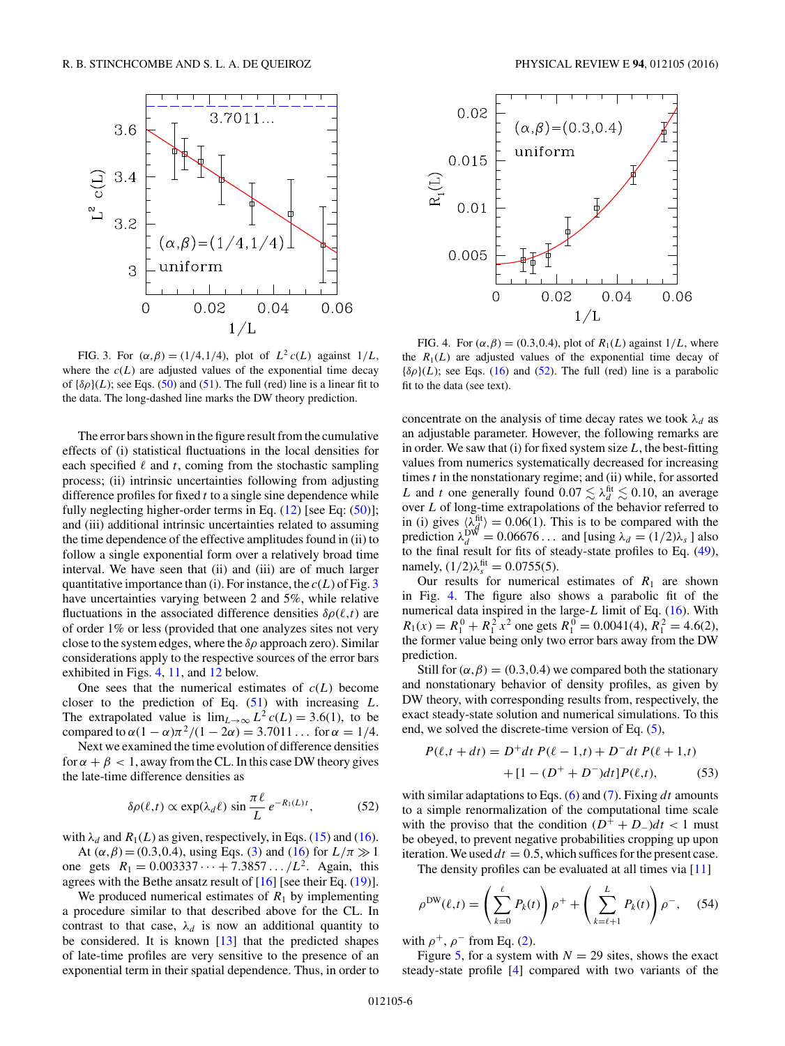<span id="page-5-0"></span>

FIG. 3. For  $(\alpha, \beta) = (1/4, 1/4)$ , plot of  $L^2 c(L)$  against  $1/L$ , where the  $c(L)$  are adjusted values of the exponential time decay of  ${\delta \rho}(L)$ ; see Eqs. [\(50\)](#page-4-0) and [\(51\)](#page-4-0). The full (red) line is a linear fit to the data. The long-dashed line marks the DW theory prediction.

The error bars shown in the figure result from the cumulative effects of (i) statistical fluctuations in the local densities for each specified  $\ell$  and  $t$ , coming from the stochastic sampling process; (ii) intrinsic uncertainties following from adjusting difference profiles for fixed *t* to a single sine dependence while fully neglecting higher-order terms in Eq. [\(12\)](#page-1-0) [see Eq: [\(50\)](#page-4-0)]; and (iii) additional intrinsic uncertainties related to assuming the time dependence of the effective amplitudes found in (ii) to follow a single exponential form over a relatively broad time interval. We have seen that (ii) and (iii) are of much larger quantitative importance than (i). For instance, the *c*(*L*) of Fig. 3 have uncertainties varying between 2 and 5%, while relative fluctuations in the associated difference densities  $\delta \rho(\ell, t)$  are of order 1% or less (provided that one analyzes sites not very close to the system edges, where the *δρ* approach zero). Similar considerations apply to the respective sources of the error bars exhibited in Figs. 4, [11,](#page-8-0) and [12](#page-8-0) below.

One sees that the numerical estimates of  $c(L)$  become closer to the prediction of Eq. [\(51\)](#page-4-0) with increasing *L*. The extrapolated value is  $\lim_{L\to\infty} L^2 c(L) = 3.6(1)$ , to be compared to  $\alpha(1 - \alpha)\pi^2/(1 - 2\alpha) = 3.7011...$  for  $\alpha = 1/4$ .

Next we examined the time evolution of difference densities for  $\alpha + \beta < 1$ , away from the CL. In this case DW theory gives the late-time difference densities as

$$
\delta \rho(\ell, t) \propto \exp(\lambda_d \ell) \sin \frac{\pi \ell}{L} e^{-R_1(L)t}, \tag{52}
$$

with  $\lambda_d$  and  $R_1(L)$  as given, respectively, in Eqs. [\(15\)](#page-1-0) and [\(16\)](#page-1-0).

At  $(\alpha, \beta) = (0.3, 0.4)$ , using Eqs. [\(3\)](#page-1-0) and [\(16\)](#page-1-0) for  $L/\pi \gg 1$ one gets  $R_1 = 0.003337 \dots + 7.3857 \dots / L^2$ . Again, this agrees with the Bethe ansatz result of [\[16\]](#page-10-0) [see their Eq. [\(19\)](#page-2-0)].

We produced numerical estimates of  $R_1$  by implementing a procedure similar to that described above for the CL. In contrast to that case,  $\lambda_d$  is now an additional quantity to be considered. It is known [\[13\]](#page-10-0) that the predicted shapes of late-time profiles are very sensitive to the presence of an exponential term in their spatial dependence. Thus, in order to



FIG. 4. For  $(\alpha, \beta) = (0.3, 0.4)$ , plot of  $R_1(L)$  against  $1/L$ , where the  $R_1(L)$  are adjusted values of the exponential time decay of  ${\delta \rho}(L)$ ; see Eqs. [\(16\)](#page-1-0) and (52). The full (red) line is a parabolic fit to the data (see text).

concentrate on the analysis of time decay rates we took  $\lambda_d$  as an adjustable parameter. However, the following remarks are in order. We saw that (i) for fixed system size *L*, the best-fitting values from numerics systematically decreased for increasing times *t* in the nonstationary regime; and (ii) while, for assorted *L* and *t* one generally found  $0.07 \lesssim \lambda_d^{\text{fit}} \lesssim 0.10$ , an average over *L* of long-time extrapolations of the behavior referred to in (i) gives  $\langle \lambda_d^{\text{fit}} \rangle = 0.06(1)$ . This is to be compared with the prediction  $\lambda_d^{\text{DW}} = 0.06676...$  and [using  $\lambda_d = (1/2)\lambda_s$  ] also to the final result for fits of steady-state profiles to Eq. [\(49\)](#page-4-0), namely,  $(1/2)\lambda_s^{\text{fit}} = 0.0755(5)$ .

Our results for numerical estimates of  $R_1$  are shown in Fig. 4. The figure also shows a parabolic fit of the numerical data inspired in the large-*L* limit of Eq. [\(16\)](#page-1-0). With  $R_1(x) = R_1^0 + R_1^2 x^2$  one gets  $R_1^0 = 0.0041(4), R_1^2 = 4.6(2),$ the former value being only two error bars away from the DW prediction.

Still for  $(\alpha, \beta) = (0.3, 0.4)$  we compared both the stationary and nonstationary behavior of density profiles, as given by DW theory, with corresponding results from, respectively, the exact steady-state solution and numerical simulations. To this end, we solved the discrete-time version of Eq. [\(5\)](#page-1-0),

$$
P(\ell, t + dt) = D^{+}dt P(\ell - 1, t) + D^{-}dt P(\ell + 1, t)
$$

$$
+ [1 - (D^{+} + D^{-})dt]P(\ell, t), \qquad (53)
$$

with similar adaptations to Eqs. [\(6\)](#page-1-0) and [\(7\)](#page-1-0). Fixing *dt* amounts to a simple renormalization of the computational time scale with the proviso that the condition  $(D^+ + D_-)dt < 1$  must be obeyed, to prevent negative probabilities cropping up upon iteration. We used  $dt = 0.5$ , which suffices for the present case.

The density profiles can be evaluated at all times via [\[11\]](#page-10-0)

$$
\rho^{\text{DW}}(\ell,t) = \left(\sum_{k=0}^{\ell} P_k(t)\right)\rho^+ + \left(\sum_{k=\ell+1}^{L} P_k(t)\right)\rho^-, \quad (54)
$$

with  $\rho^+$ ,  $\rho^-$  from Eq. [\(2\)](#page-1-0).

Figure [5,](#page-6-0) for a system with  $N = 29$  sites, shows the exact steady-state profile [\[4\]](#page-10-0) compared with two variants of the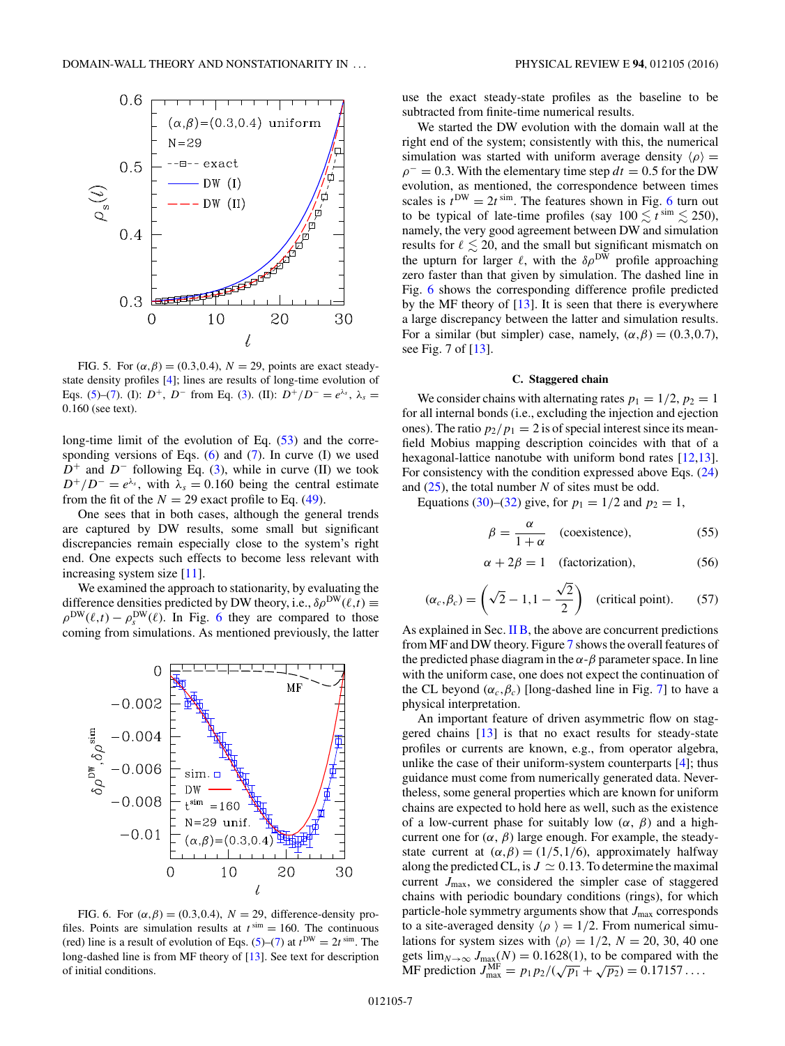<span id="page-6-0"></span>

FIG. 5. For  $(\alpha, \beta) = (0.3, 0.4), N = 29$ , points are exact steadystate density profiles [\[4\]](#page-10-0); lines are results of long-time evolution of Eqs. [\(5\)](#page-1-0)–[\(7\)](#page-1-0). (I):  $D^+$ ,  $D^-$  from Eq. [\(3\)](#page-1-0). (II):  $D^+/D^- = e^{\lambda_s}$ ,  $\lambda_s =$ 0*.*160 (see text).

long-time limit of the evolution of Eq.  $(53)$  and the corresponding versions of Eqs.  $(6)$  and  $(7)$ . In curve  $(1)$  we used *D*<sup>+</sup> and *D*<sup>−</sup> following Eq. [\(3\)](#page-1-0), while in curve (II) we took  $D^+/D^- = e^{\lambda_s}$ , with  $\lambda_s = 0.160$  being the central estimate from the fit of the  $N = 29$  exact profile to Eq. [\(49\)](#page-4-0).

One sees that in both cases, although the general trends are captured by DW results, some small but significant discrepancies remain especially close to the system's right end. One expects such effects to become less relevant with increasing system size [\[11\]](#page-10-0).

We examined the approach to stationarity, by evaluating the difference densities predicted by DW theory, i.e.,  $\delta \rho^{\text{DW}}(\ell, t) \equiv$  $\rho^{DW}(\ell,t) - \rho_s^{DW}(\ell)$ . In Fig. 6 they are compared to those coming from simulations. As mentioned previously, the latter



FIG. 6. For  $(\alpha, \beta) = (0.3, 0.4), N = 29$ , difference-density profiles. Points are simulation results at  $t^{\text{sim}} = 160$ . The continuous (red) line is a result of evolution of Eqs.  $(5)-(7)$  $(5)-(7)$  $(5)-(7)$  at  $t^{DW} = 2t^{\text{sim}}$ . The long-dashed line is from MF theory of [\[13\]](#page-10-0). See text for description of initial conditions.

use the exact steady-state profiles as the baseline to be subtracted from finite-time numerical results.

We started the DW evolution with the domain wall at the right end of the system; consistently with this, the numerical simulation was started with uniform average density  $\langle \rho \rangle$  =  $\rho$ <sup>−</sup> = 0.3. With the elementary time step  $dt$  = 0.5 for the DW evolution, as mentioned, the correspondence between times scales is  $t^{DW} = 2t^{\text{sim}}$ . The features shown in Fig. 6 turn out to be typical of late-time profiles (say  $100 \lesssim t^{\text{sim}} \lesssim 250$ ), namely, the very good agreement between DW and simulation results for  $\ell \lesssim 20$ , and the small but significant mismatch on the upturn for larger  $\ell$ , with the  $\delta \rho^{\text{DW}}$  profile approaching zero faster than that given by simulation. The dashed line in Fig. 6 shows the corresponding difference profile predicted by the MF theory of  $[13]$ . It is seen that there is everywhere a large discrepancy between the latter and simulation results. For a similar (but simpler) case, namely,  $(\alpha, \beta) = (0.3, 0.7)$ , see Fig. 7 of [\[13\]](#page-10-0).

#### **C. Staggered chain**

We consider chains with alternating rates  $p_1 = 1/2$ ,  $p_2 = 1$ for all internal bonds (i.e., excluding the injection and ejection ones). The ratio  $p_2/p_1 = 2$  is of special interest since its meanfield Mobius mapping description coincides with that of a hexagonal-lattice nanotube with uniform bond rates [\[12,13\]](#page-10-0). For consistency with the condition expressed above Eqs. [\(24\)](#page-2-0) and [\(25\)](#page-2-0), the total number *N* of sites must be odd.

Equations [\(30\)](#page-2-0)–[\(32\)](#page-3-0) give, for  $p_1 = 1/2$  and  $p_2 = 1$ ,

$$
\beta = \frac{\alpha}{1 + \alpha} \quad \text{(coexistence)}, \tag{55}
$$

$$
\alpha + 2\beta = 1 \quad \text{(factorization)}, \tag{56}
$$

$$
(\alpha_c, \beta_c) = \left(\sqrt{2} - 1, 1 - \frac{\sqrt{2}}{2}\right) \text{ (critical point).} \quad (57)
$$

As explained in Sec.  $\overline{I}$  B, the above are concurrent predictions from MF and DW theory. Figure [7](#page-7-0) shows the overall features of the predicted phase diagram in the  $\alpha$ - $\beta$  parameter space. In line with the uniform case, one does not expect the continuation of the CL beyond  $(\alpha_c, \beta_c)$  [long-dashed line in Fig. [7\]](#page-7-0) to have a physical interpretation.

An important feature of driven asymmetric flow on staggered chains [\[13\]](#page-10-0) is that no exact results for steady-state profiles or currents are known, e.g., from operator algebra, unlike the case of their uniform-system counterparts [\[4\]](#page-10-0); thus guidance must come from numerically generated data. Nevertheless, some general properties which are known for uniform chains are expected to hold here as well, such as the existence of a low-current phase for suitably low  $(\alpha, \beta)$  and a highcurrent one for  $(\alpha, \beta)$  large enough. For example, the steadystate current at  $(\alpha, \beta) = (1/5, 1/6)$ , approximately halfway along the predicted CL, is  $J \simeq 0.13$ . To determine the maximal current  $J_{\text{max}}$ , we considered the simpler case of staggered chains with periodic boundary conditions (rings), for which particle-hole symmetry arguments show that  $J_{\text{max}}$  corresponds to a site-averaged density  $\langle \rho \rangle = 1/2$ . From numerical simulations for system sizes with  $\langle \rho \rangle = 1/2$ ,  $N = 20$ , 30, 40 one gets  $\lim_{N\to\infty} J_{\text{max}}(N) = 0.1628(1)$ , to be compared with the  $M_F$  prediction  $J_{\text{max}}^{\text{M}} = p_1 p_2 / (\sqrt{p_1} + \sqrt{p_2}) = 0.17157 \dots$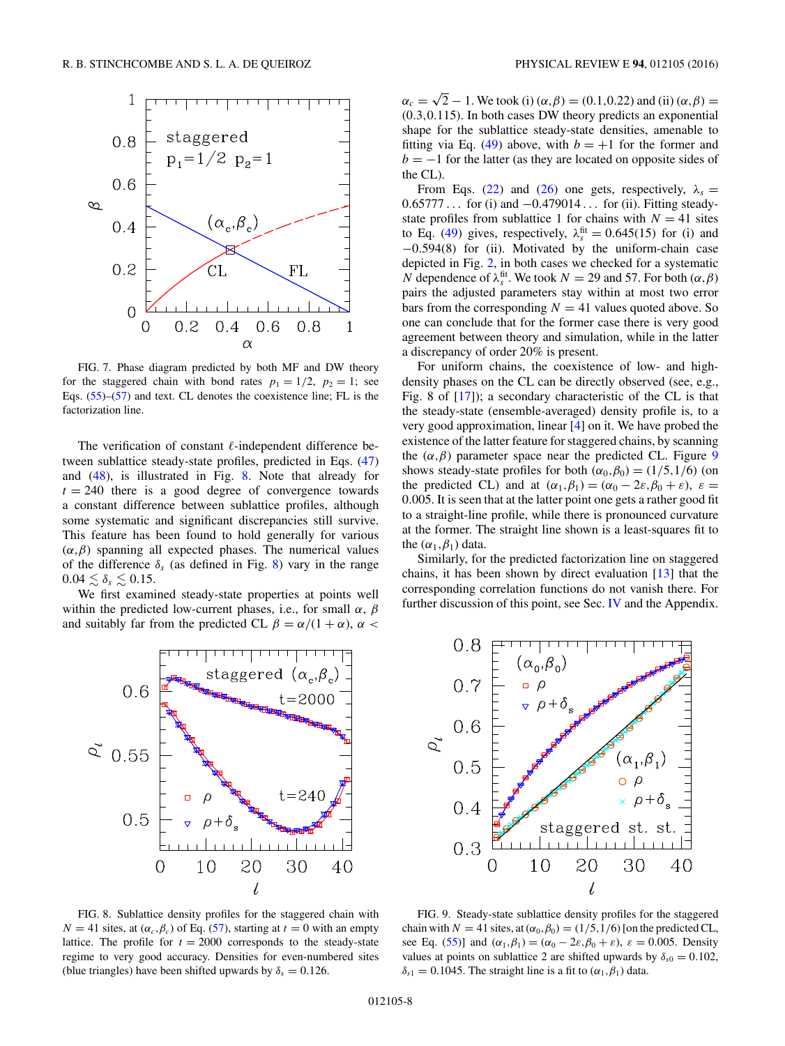<span id="page-7-0"></span>

FIG. 7. Phase diagram predicted by both MF and DW theory for the staggered chain with bond rates  $p_1 = 1/2$ ,  $p_2 = 1$ ; see Eqs.  $(55)$ – $(57)$  and text. CL denotes the coexistence line; FL is the factorization line.

The verification of constant  $\ell$ -independent difference between sublattice steady-state profiles, predicted in Eqs. [\(47\)](#page-4-0) and [\(48\)](#page-4-0), is illustrated in Fig. 8. Note that already for  $t = 240$  there is a good degree of convergence towards a constant difference between sublattice profiles, although some systematic and significant discrepancies still survive. This feature has been found to hold generally for various  $(\alpha, \beta)$  spanning all expected phases. The numerical values of the difference  $\delta_s$  (as defined in Fig. 8) vary in the range  $0.04 \lesssim \delta_s \lesssim 0.15$ .

We first examined steady-state properties at points well within the predicted low-current phases, i.e., for small *α*, *β* and suitably far from the predicted CL  $\beta = \alpha/(1 + \alpha)$ ,  $\alpha$ 



FIG. 8. Sublattice density profiles for the staggered chain with  $N = 41$  sites, at  $(\alpha_c, \beta_c)$  of Eq. [\(57\)](#page-6-0), starting at  $t = 0$  with an empty lattice. The profile for  $t = 2000$  corresponds to the steady-state regime to very good accuracy. Densities for even-numbered sites (blue triangles) have been shifted upwards by  $\delta_s = 0.126$ .

 $\alpha_c = \sqrt{2} - 1$ . We took (i) ( $\alpha, \beta$ ) = (0*.*1*,*0*.*22) and (ii) ( $\alpha, \beta$ ) = (0*.*3*,*0*.*115). In both cases DW theory predicts an exponential shape for the sublattice steady-state densities, amenable to fitting via Eq. [\(49\)](#page-4-0) above, with  $b = +1$  for the former and  $b = -1$  for the latter (as they are located on opposite sides of the CL).

From Eqs. [\(22\)](#page-2-0) and [\(26\)](#page-2-0) one gets, respectively,  $\lambda_s =$ 0*.*65777 *...* for (i) and −0*.*479014 *...* for (ii). Fitting steadystate profiles from sublattice 1 for chains with  $N = 41$  sites to Eq. [\(49\)](#page-4-0) gives, respectively,  $\lambda_s^{\text{fit}} = 0.645(15)$  for (i) and −0*.*594(8) for (ii). Motivated by the uniform-chain case depicted in Fig. [2,](#page-4-0) in both cases we checked for a systematic *N* dependence of  $\lambda_s^{\text{fit}}$ . We took  $N = 29$  and 57. For both  $(\alpha, \beta)$ pairs the adjusted parameters stay within at most two error bars from the corresponding  $N = 41$  values quoted above. So one can conclude that for the former case there is very good agreement between theory and simulation, while in the latter a discrepancy of order 20% is present.

For uniform chains, the coexistence of low- and highdensity phases on the CL can be directly observed (see, e.g., Fig. 8 of [\[17\]](#page-10-0)); a secondary characteristic of the CL is that the steady-state (ensemble-averaged) density profile is, to a very good approximation, linear [\[4\]](#page-10-0) on it. We have probed the existence of the latter feature for staggered chains, by scanning the  $(\alpha, \beta)$  parameter space near the predicted CL. Figure 9 shows steady-state profiles for both  $(\alpha_0, \beta_0) = (1/5, 1/6)$  (on the predicted CL) and at  $(\alpha_1, \beta_1) = (\alpha_0 - 2\varepsilon, \beta_0 + \varepsilon), \varepsilon =$ 0*.*005. It is seen that at the latter point one gets a rather good fit to a straight-line profile, while there is pronounced curvature at the former. The straight line shown is a least-squares fit to the  $(\alpha_1, \beta_1)$  data.

Similarly, for the predicted factorization line on staggered chains, it has been shown by direct evaluation [\[13\]](#page-10-0) that the corresponding correlation functions do not vanish there. For further discussion of this point, see Sec. [IV](#page-9-0) and the Appendix.



FIG. 9. Steady-state sublattice density profiles for the staggered chain with  $N = 41$  sites, at  $(\alpha_0, \beta_0) = (1/5, 1/6)$  [on the predicted CL, see Eq. [\(55\)](#page-6-0)] and  $(\alpha_1, \beta_1) = (\alpha_0 - 2\varepsilon, \beta_0 + \varepsilon)$ ,  $\varepsilon = 0.005$ . Density values at points on sublattice 2 are shifted upwards by  $\delta_{s0} = 0.102$ ,  $\delta_{s1} = 0.1045$ . The straight line is a fit to  $(\alpha_1, \beta_1)$  data.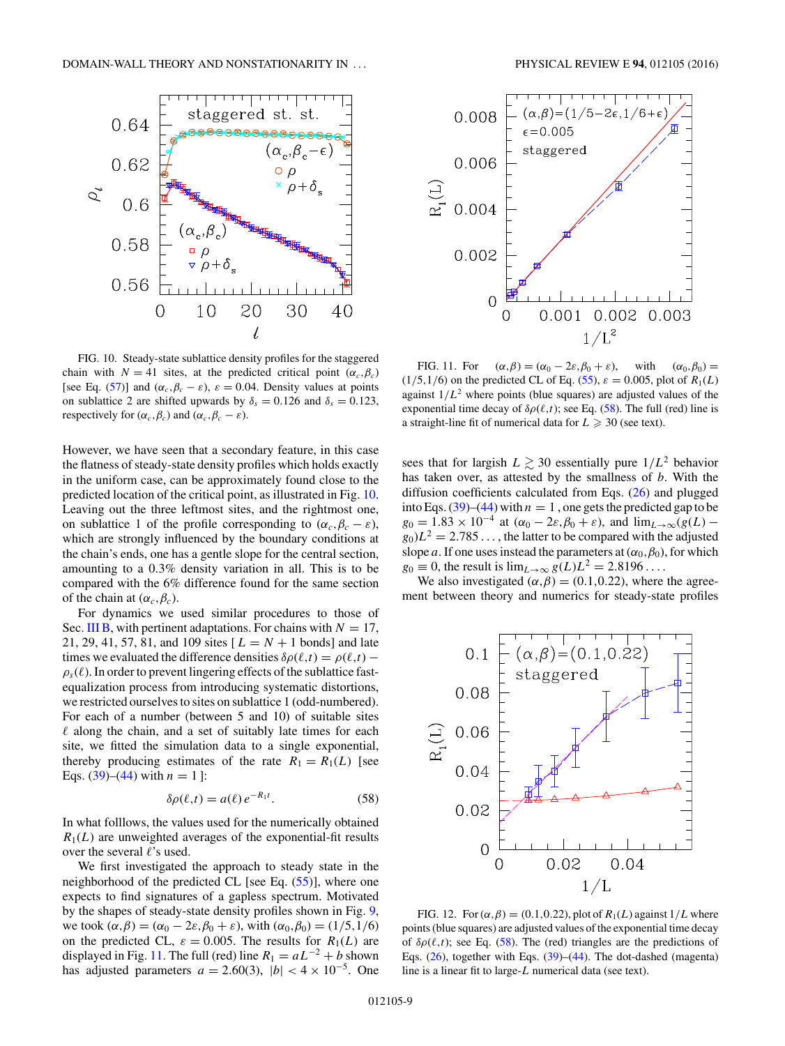<span id="page-8-0"></span>

FIG. 10. Steady-state sublattice density profiles for the staggered chain with  $N = 41$  sites, at the predicted critical point  $(\alpha_c, \beta_c)$ [see Eq. [\(57\)](#page-6-0)] and  $(\alpha_c, \beta_c - \varepsilon)$ ,  $\varepsilon = 0.04$ . Density values at points on sublattice 2 are shifted upwards by  $\delta_s = 0.126$  and  $\delta_s = 0.123$ , respectively for  $(\alpha_c, \beta_c)$  and  $(\alpha_c, \beta_c - \varepsilon)$ .

However, we have seen that a secondary feature, in this case the flatness of steady-state density profiles which holds exactly in the uniform case, can be approximately found close to the predicted location of the critical point, as illustrated in Fig. 10. Leaving out the three leftmost sites, and the rightmost one, on sublattice 1 of the profile corresponding to  $(\alpha_c, \beta_c - \varepsilon)$ , which are strongly influenced by the boundary conditions at the chain's ends, one has a gentle slope for the central section, amounting to a 0*.*3% density variation in all. This is to be compared with the 6% difference found for the same section of the chain at  $(\alpha_c, \beta_c)$ .

For dynamics we used similar procedures to those of Sec. [III B,](#page-4-0) with pertinent adaptations. For chains with  $N = 17$ , 21, 29, 41, 57, 81, and 109 sites  $[L = N + 1$  bonds] and late times we evaluated the difference densities  $\delta \rho(\ell, t) = \rho(\ell, t)$  $\rho_s(\ell)$ . In order to prevent lingering effects of the sublattice fastequalization process from introducing systematic distortions, we restricted ourselves to sites on sublattice 1 (odd-numbered). For each of a number (between 5 and 10) of suitable sites  $\ell$  along the chain, and a set of suitably late times for each site, we fitted the simulation data to a single exponential, thereby producing estimates of the rate  $R_1 = R_1(L)$  [see Eqs.  $(39)$ – $(44)$  with  $n = 1$  ]:

$$
\delta \rho(\ell, t) = a(\ell) e^{-R_1 t}.
$$
 (58)

In what folllows, the values used for the numerically obtained  $R_1(L)$  are unweighted averages of the exponential-fit results over the several  $\ell$ 's used.

We first investigated the approach to steady state in the neighborhood of the predicted CL [see Eq.  $(55)$ ], where one expects to find signatures of a gapless spectrum. Motivated by the shapes of steady-state density profiles shown in Fig. [9,](#page-7-0) we took  $(\alpha, \beta) = (\alpha_0 - 2\varepsilon, \beta_0 + \varepsilon)$ , with  $(\alpha_0, \beta_0) = (1/5, 1/6)$ on the predicted CL,  $\varepsilon = 0.005$ . The results for  $R_1(L)$  are displayed in Fig. 11. The full (red) line  $R_1 = aL^{-2} + b$  shown has adjusted parameters  $a = 2.60(3)$ ,  $|b| < 4 \times 10^{-5}$ . One



FIG. 11. For  $(\alpha, \beta) = (\alpha_0 - 2\varepsilon, \beta_0 + \varepsilon)$ , with  $(\alpha_0, \beta_0) =$  $(1/5, 1/6)$  on the predicted CL of Eq. [\(55\)](#page-6-0),  $\varepsilon = 0.005$ , plot of  $R_1(L)$ against  $1/L^2$  where points (blue squares) are adjusted values of the exponential time decay of  $\delta \rho(\ell, t)$ ; see Eq. (58). The full (red) line is a straight-line fit of numerical data for  $L \geq 30$  (see text).

sees that for largish  $L \gtrsim 30$  essentially pure  $1/L^2$  behavior has taken over, as attested by the smallness of *b*. With the diffusion coefficients calculated from Eqs. [\(26\)](#page-2-0) and plugged into Eqs.  $(39)$ – $(44)$  with  $n = 1$ , one gets the predicted gap to be  $g_0 = 1.83 \times 10^{-4}$  at  $(\alpha_0 - 2\varepsilon, \beta_0 + \varepsilon)$ , and  $\lim_{L \to \infty} (g(L)$  $g_0$ ) $L^2 = 2.785...$ , the latter to be compared with the adjusted slope *a*. If one uses instead the parameters at  $(\alpha_0, \beta_0)$ , for which  $g_0 \equiv 0$ , the result is  $\lim_{L\to\infty} g(L)L^2 = 2.8196...$ 

We also investigated  $(\alpha, \beta) = (0.1, 0.22)$ , where the agreement between theory and numerics for steady-state profiles



FIG. 12. For  $(\alpha, \beta) = (0.1, 0.22)$ , plot of  $R_1(L)$  against  $1/L$  where points (blue squares) are adjusted values of the exponential time decay of  $\delta \rho(\ell, t)$ ; see Eq. (58). The (red) triangles are the predictions of Eqs. [\(26\)](#page-2-0), together with Eqs. [\(39\)](#page-3-0)–[\(44\)](#page-3-0). The dot-dashed (magenta) line is a linear fit to large-*L* numerical data (see text).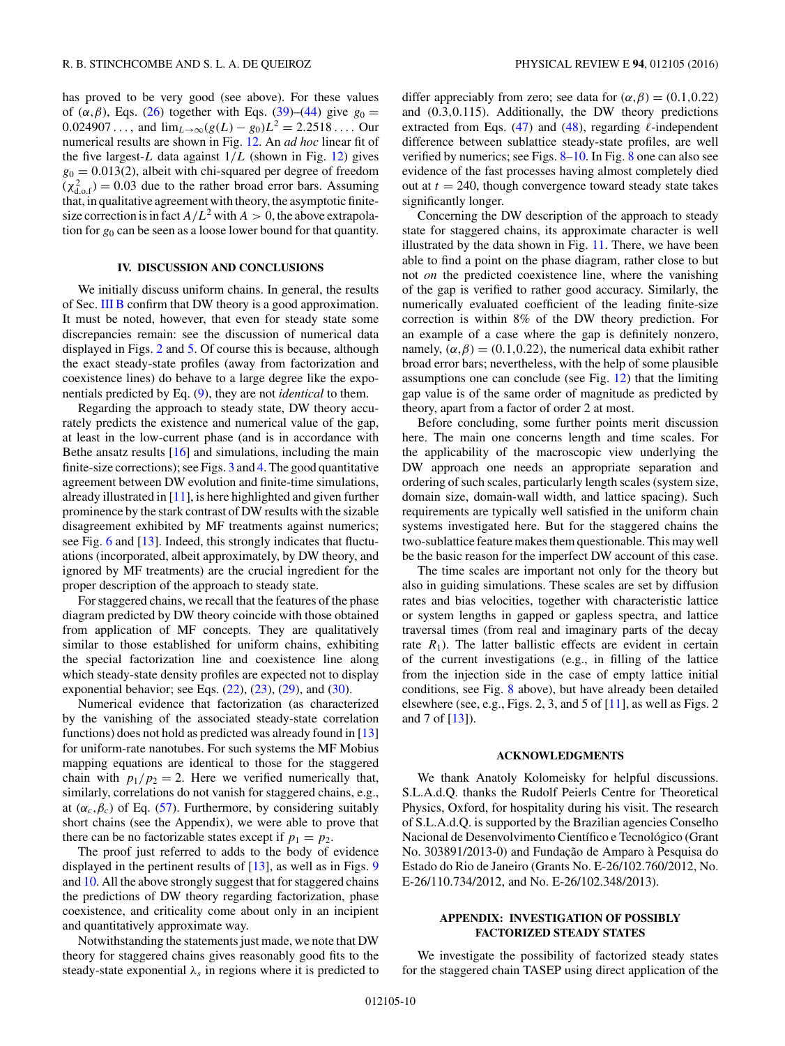<span id="page-9-0"></span>has proved to be very good (see above). For these values of  $(\alpha, \beta)$ , Eqs. [\(26\)](#page-2-0) together with Eqs. [\(39\)](#page-3-0)–[\(44\)](#page-3-0) give  $g_0 =$ 0.024907 ..., and  $\lim_{L\to\infty} (g(L) - g_0)L^2 = 2.2518...$  Our numerical results are shown in Fig. [12.](#page-8-0) An *ad hoc* linear fit of the five largest- $L$  data against  $1/L$  (shown in Fig. [12\)](#page-8-0) gives  $g_0 = 0.013(2)$ , albeit with chi-squared per degree of freedom  $(\chi^2_{d.o.f}) = 0.03$  due to the rather broad error bars. Assuming that, in qualitative agreement with theory, the asymptotic finitesize correction is in fact  $A/L^2$  with  $A > 0$ , the above extrapolation for  $g_0$  can be seen as a loose lower bound for that quantity.

### **IV. DISCUSSION AND CONCLUSIONS**

We initially discuss uniform chains. In general, the results of Sec. [III B](#page-4-0) confirm that DW theory is a good approximation. It must be noted, however, that even for steady state some discrepancies remain: see the discussion of numerical data displayed in Figs. [2](#page-4-0) and [5.](#page-6-0) Of course this is because, although the exact steady-state profiles (away from factorization and coexistence lines) do behave to a large degree like the exponentials predicted by Eq. [\(9\)](#page-1-0), they are not *identical* to them.

Regarding the approach to steady state, DW theory accurately predicts the existence and numerical value of the gap, at least in the low-current phase (and is in accordance with Bethe ansatz results  $[16]$  and simulations, including the main finite-size corrections); see Figs. [3](#page-5-0) and [4.](#page-5-0) The good quantitative agreement between DW evolution and finite-time simulations, already illustrated in [\[11\]](#page-10-0), is here highlighted and given further prominence by the stark contrast of DW results with the sizable disagreement exhibited by MF treatments against numerics; see Fig. [6](#page-6-0) and [\[13\]](#page-10-0). Indeed, this strongly indicates that fluctuations (incorporated, albeit approximately, by DW theory, and ignored by MF treatments) are the crucial ingredient for the proper description of the approach to steady state.

For staggered chains, we recall that the features of the phase diagram predicted by DW theory coincide with those obtained from application of MF concepts. They are qualitatively similar to those established for uniform chains, exhibiting the special factorization line and coexistence line along which steady-state density profiles are expected not to display exponential behavior; see Eqs.  $(22)$ ,  $(23)$ ,  $(29)$ , and  $(30)$ .

Numerical evidence that factorization (as characterized by the vanishing of the associated steady-state correlation functions) does not hold as predicted was already found in [\[13\]](#page-10-0) for uniform-rate nanotubes. For such systems the MF Mobius mapping equations are identical to those for the staggered chain with  $p_1/p_2 = 2$ . Here we verified numerically that, similarly, correlations do not vanish for staggered chains, e.g., at  $(\alpha_c, \beta_c)$  of Eq. [\(57\)](#page-6-0). Furthermore, by considering suitably short chains (see the Appendix), we were able to prove that there can be no factorizable states except if  $p_1 = p_2$ .

The proof just referred to adds to the body of evidence displayed in the pertinent results of [\[13\]](#page-10-0), as well as in Figs. [9](#page-7-0) and [10.](#page-8-0) All the above strongly suggest that for staggered chains the predictions of DW theory regarding factorization, phase coexistence, and criticality come about only in an incipient and quantitatively approximate way.

Notwithstanding the statements just made, we note that DW theory for staggered chains gives reasonably good fits to the steady-state exponential  $\lambda_s$  in regions where it is predicted to

differ appreciably from zero; see data for  $(\alpha, \beta) = (0.1, 0.22)$ and (0*.*3*,*0*.*115). Additionally, the DW theory predictions extracted from Eqs.  $(47)$  and  $(48)$ , regarding  $\ell$ -independent difference between sublattice steady-state profiles, are well verified by numerics; see Figs. [8–](#page-7-0)[10.](#page-8-0) In Fig. [8](#page-7-0) one can also see evidence of the fast processes having almost completely died out at  $t = 240$ , though convergence toward steady state takes significantly longer.

Concerning the DW description of the approach to steady state for staggered chains, its approximate character is well illustrated by the data shown in Fig. [11.](#page-8-0) There, we have been able to find a point on the phase diagram, rather close to but not *on* the predicted coexistence line, where the vanishing of the gap is verified to rather good accuracy. Similarly, the numerically evaluated coefficient of the leading finite-size correction is within 8% of the DW theory prediction. For an example of a case where the gap is definitely nonzero, namely,  $(\alpha, \beta) = (0.1, 0.22)$ , the numerical data exhibit rather broad error bars; nevertheless, with the help of some plausible assumptions one can conclude (see Fig. [12\)](#page-8-0) that the limiting gap value is of the same order of magnitude as predicted by theory, apart from a factor of order 2 at most.

Before concluding, some further points merit discussion here. The main one concerns length and time scales. For the applicability of the macroscopic view underlying the DW approach one needs an appropriate separation and ordering of such scales, particularly length scales (system size, domain size, domain-wall width, and lattice spacing). Such requirements are typically well satisfied in the uniform chain systems investigated here. But for the staggered chains the two-sublattice feature makes them questionable. This may well be the basic reason for the imperfect DW account of this case.

The time scales are important not only for the theory but also in guiding simulations. These scales are set by diffusion rates and bias velocities, together with characteristic lattice or system lengths in gapped or gapless spectra, and lattice traversal times (from real and imaginary parts of the decay rate  $R_1$ ). The latter ballistic effects are evident in certain of the current investigations (e.g., in filling of the lattice from the injection side in the case of empty lattice initial conditions, see Fig. [8](#page-7-0) above), but have already been detailed elsewhere (see, e.g., Figs. 2, 3, and 5 of [\[11\]](#page-10-0), as well as Figs. 2 and 7 of [\[13\]](#page-10-0)).

#### **ACKNOWLEDGMENTS**

We thank Anatoly Kolomeisky for helpful discussions. S.L.A.d.Q. thanks the Rudolf Peierls Centre for Theoretical Physics, Oxford, for hospitality during his visit. The research of S.L.A.d.Q. is supported by the Brazilian agencies Conselho Nacional de Desenvolvimento Científico e Tecnológico (Grant No. 303891/2013-0) and Fundação de Amparo à Pesquisa do Estado do Rio de Janeiro (Grants No. E-26/102.760/2012, No. E-26/110.734/2012, and No. E-26/102.348/2013).

# **APPENDIX: INVESTIGATION OF POSSIBLY FACTORIZED STEADY STATES**

We investigate the possibility of factorized steady states for the staggered chain TASEP using direct application of the